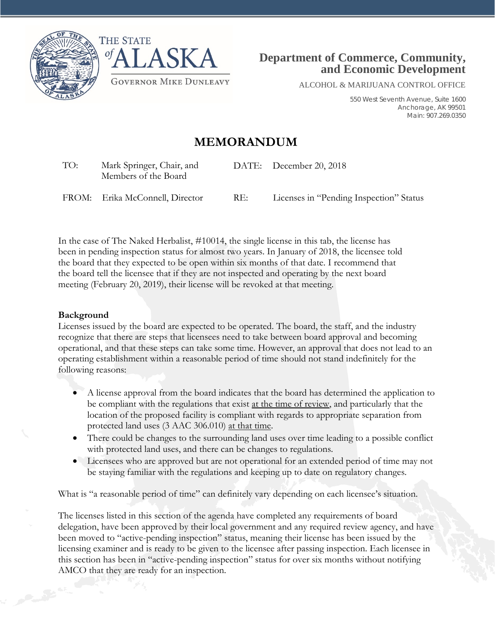



ALCOHOL & MARIJUANA CONTROL OFFICE

550 West Seventh Avenue, Suite 1600 Anchorage, AK 99501 Main: 907.269.0350

## **MEMORANDUM**

| TO: | Mark Springer, Chair, and<br>Members of the Board |     | DATE: December 20, 2018                 |
|-----|---------------------------------------------------|-----|-----------------------------------------|
|     | FROM: Erika McConnell, Director                   | RE: | Licenses in "Pending Inspection" Status |

In the case of The Naked Herbalist, #10014, the single license in this tab, the license has been in pending inspection status for almost two years. In January of 2018, the licensee told the board that they expected to be open within six months of that date. I recommend that the board tell the licensee that if they are not inspected and operating by the next board meeting (February 20, 2019), their license will be revoked at that meeting.

## **Background**

Licenses issued by the board are expected to be operated. The board, the staff, and the industry recognize that there are steps that licensees need to take between board approval and becoming operational, and that these steps can take some time. However, an approval that does not lead to an operating establishment within a reasonable period of time should not stand indefinitely for the following reasons:

- A license approval from the board indicates that the board has determined the application to be compliant with the regulations that exist at the time of review, and particularly that the location of the proposed facility is compliant with regards to appropriate separation from protected land uses (3 AAC 306.010) at that time.
- There could be changes to the surrounding land uses over time leading to a possible conflict with protected land uses, and there can be changes to regulations.
- Licensees who are approved but are not operational for an extended period of time may not be staying familiar with the regulations and keeping up to date on regulatory changes.

What is "a reasonable period of time" can definitely vary depending on each licensee's situation.

The licenses listed in this section of the agenda have completed any requirements of board delegation, have been approved by their local government and any required review agency, and have been moved to "active-pending inspection" status, meaning their license has been issued by the licensing examiner and is ready to be given to the licensee after passing inspection. Each licensee in this section has been in "active-pending inspection" status for over six months without notifying AMCO that they are ready for an inspection.